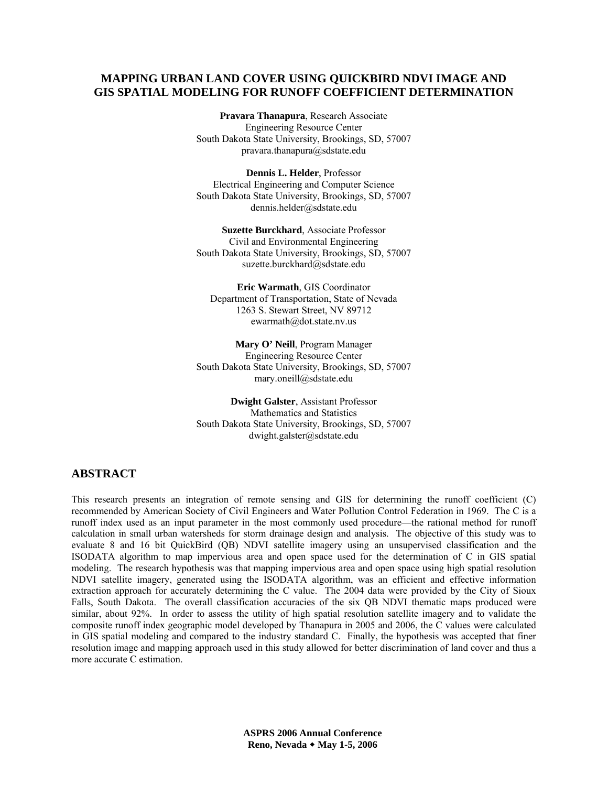# **MAPPING URBAN LAND COVER USING QUICKBIRD NDVI IMAGE AND GIS SPATIAL MODELING FOR RUNOFF COEFFICIENT DETERMINATION**

**Pravara Thanapura**, Research Associate Engineering Resource Center South Dakota State University, Brookings, SD, 57007 pravara.thanapura@sdstate.edu

**Dennis L. Helder**, Professor Electrical Engineering and Computer Science South Dakota State University, Brookings, SD, 57007 dennis.helder@sdstate.edu

**Suzette Burckhard**, Associate Professor Civil and Environmental Engineering South Dakota State University, Brookings, SD, 57007 suzette.burckhard@sdstate.edu

**Eric Warmath**, GIS Coordinator Department of Transportation, State of Nevada 1263 S. Stewart Street, NV 89712 ewarmath@dot.state.nv.us

**Mary O' Neill**, Program Manager Engineering Resource Center South Dakota State University, Brookings, SD, 57007 mary.oneill@sdstate.edu

**Dwight Galster**, Assistant Professor Mathematics and Statistics South Dakota State University, Brookings, SD, 57007 dwight.galster@sdstate.edu

# **ABSTRACT**

This research presents an integration of remote sensing and GIS for determining the runoff coefficient (C) recommended by American Society of Civil Engineers and Water Pollution Control Federation in 1969. The C is a runoff index used as an input parameter in the most commonly used procedure—the rational method for runoff calculation in small urban watersheds for storm drainage design and analysis. The objective of this study was to evaluate 8 and 16 bit QuickBird (QB) NDVI satellite imagery using an unsupervised classification and the ISODATA algorithm to map impervious area and open space used for the determination of C in GIS spatial modeling. The research hypothesis was that mapping impervious area and open space using high spatial resolution NDVI satellite imagery, generated using the ISODATA algorithm, was an efficient and effective information extraction approach for accurately determining the C value. The 2004 data were provided by the City of Sioux Falls, South Dakota. The overall classification accuracies of the six QB NDVI thematic maps produced were similar, about 92%. In order to assess the utility of high spatial resolution satellite imagery and to validate the composite runoff index geographic model developed by Thanapura in 2005 and 2006, the C values were calculated in GIS spatial modeling and compared to the industry standard C. Finally, the hypothesis was accepted that finer resolution image and mapping approach used in this study allowed for better discrimination of land cover and thus a more accurate C estimation.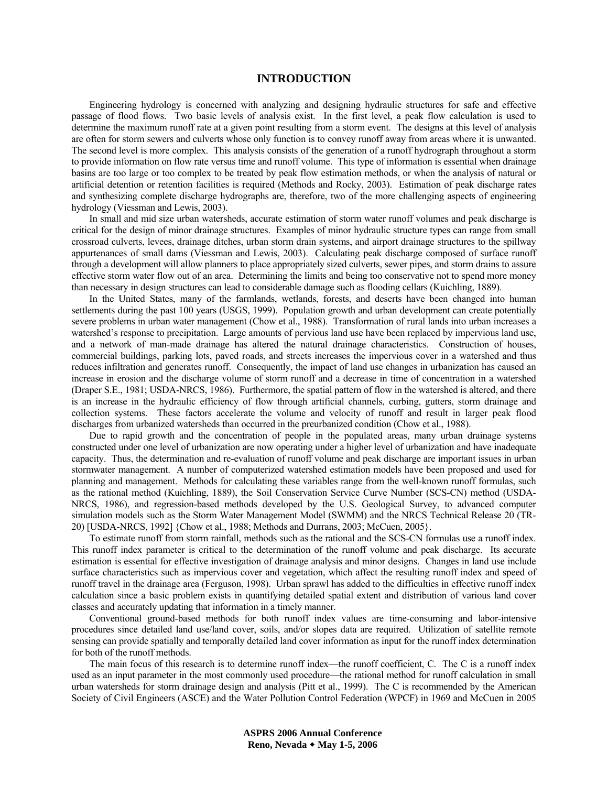# **INTRODUCTION**

Engineering hydrology is concerned with analyzing and designing hydraulic structures for safe and effective passage of flood flows. Two basic levels of analysis exist. In the first level, a peak flow calculation is used to determine the maximum runoff rate at a given point resulting from a storm event. The designs at this level of analysis are often for storm sewers and culverts whose only function is to convey runoff away from areas where it is unwanted. The second level is more complex. This analysis consists of the generation of a runoff hydrograph throughout a storm to provide information on flow rate versus time and runoff volume. This type of information is essential when drainage basins are too large or too complex to be treated by peak flow estimation methods, or when the analysis of natural or artificial detention or retention facilities is required (Methods and Rocky, 2003). Estimation of peak discharge rates and synthesizing complete discharge hydrographs are, therefore, two of the more challenging aspects of engineering hydrology (Viessman and Lewis, 2003).

In small and mid size urban watersheds, accurate estimation of storm water runoff volumes and peak discharge is critical for the design of minor drainage structures. Examples of minor hydraulic structure types can range from small crossroad culverts, levees, drainage ditches, urban storm drain systems, and airport drainage structures to the spillway appurtenances of small dams (Viessman and Lewis, 2003). Calculating peak discharge composed of surface runoff through a development will allow planners to place appropriately sized culverts, sewer pipes, and storm drains to assure effective storm water flow out of an area. Determining the limits and being too conservative not to spend more money than necessary in design structures can lead to considerable damage such as flooding cellars (Kuichling, 1889).

In the United States, many of the farmlands, wetlands, forests, and deserts have been changed into human settlements during the past 100 years (USGS, 1999). Population growth and urban development can create potentially severe problems in urban water management (Chow et al., 1988). Transformation of rural lands into urban increases a watershed's response to precipitation. Large amounts of pervious land use have been replaced by impervious land use, and a network of man-made drainage has altered the natural drainage characteristics. Construction of houses, commercial buildings, parking lots, paved roads, and streets increases the impervious cover in a watershed and thus reduces infiltration and generates runoff. Consequently, the impact of land use changes in urbanization has caused an increase in erosion and the discharge volume of storm runoff and a decrease in time of concentration in a watershed (Draper S.E., 1981; USDA-NRCS, 1986). Furthermore, the spatial pattern of flow in the watershed is altered, and there is an increase in the hydraulic efficiency of flow through artificial channels, curbing, gutters, storm drainage and collection systems. These factors accelerate the volume and velocity of runoff and result in larger peak flood discharges from urbanized watersheds than occurred in the preurbanized condition (Chow et al., 1988).

Due to rapid growth and the concentration of people in the populated areas, many urban drainage systems constructed under one level of urbanization are now operating under a higher level of urbanization and have inadequate capacity. Thus, the determination and re-evaluation of runoff volume and peak discharge are important issues in urban stormwater management. A number of computerized watershed estimation models have been proposed and used for planning and management. Methods for calculating these variables range from the well-known runoff formulas, such as the rational method (Kuichling, 1889), the Soil Conservation Service Curve Number (SCS-CN) method (USDA-NRCS, 1986), and regression-based methods developed by the U.S. Geological Survey, to advanced computer simulation models such as the Storm Water Management Model (SWMM) and the NRCS Technical Release 20 (TR-20) [USDA-NRCS, 1992] {Chow et al., 1988; Methods and Durrans, 2003; McCuen, 2005}.

To estimate runoff from storm rainfall, methods such as the rational and the SCS-CN formulas use a runoff index. This runoff index parameter is critical to the determination of the runoff volume and peak discharge. Its accurate estimation is essential for effective investigation of drainage analysis and minor designs. Changes in land use include surface characteristics such as impervious cover and vegetation, which affect the resulting runoff index and speed of runoff travel in the drainage area (Ferguson, 1998). Urban sprawl has added to the difficulties in effective runoff index calculation since a basic problem exists in quantifying detailed spatial extent and distribution of various land cover classes and accurately updating that information in a timely manner.

Conventional ground-based methods for both runoff index values are time-consuming and labor-intensive procedures since detailed land use/land cover, soils, and/or slopes data are required. Utilization of satellite remote sensing can provide spatially and temporally detailed land cover information as input for the runoff index determination for both of the runoff methods.

The main focus of this research is to determine runoff index—the runoff coefficient, C. The C is a runoff index used as an input parameter in the most commonly used procedure—the rational method for runoff calculation in small urban watersheds for storm drainage design and analysis (Pitt et al., 1999). The C is recommended by the American Society of Civil Engineers (ASCE) and the Water Pollution Control Federation (WPCF) in 1969 and McCuen in 2005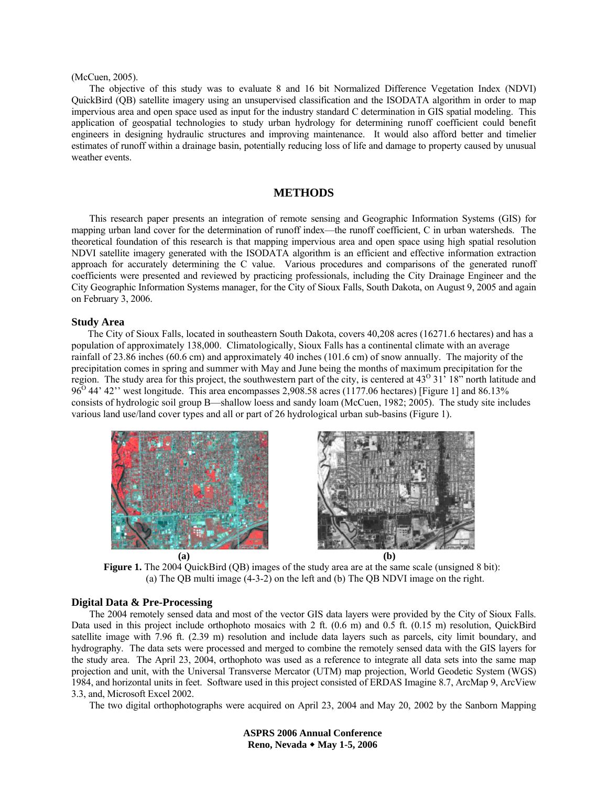#### (McCuen, 2005).

The objective of this study was to evaluate 8 and 16 bit Normalized Difference Vegetation Index (NDVI) QuickBird (QB) satellite imagery using an unsupervised classification and the ISODATA algorithm in order to map impervious area and open space used as input for the industry standard C determination in GIS spatial modeling. This application of geospatial technologies to study urban hydrology for determining runoff coefficient could benefit engineers in designing hydraulic structures and improving maintenance. It would also afford better and timelier estimates of runoff within a drainage basin, potentially reducing loss of life and damage to property caused by unusual weather events.

# **METHODS**

This research paper presents an integration of remote sensing and Geographic Information Systems (GIS) for mapping urban land cover for the determination of runoff index—the runoff coefficient, C in urban watersheds. The theoretical foundation of this research is that mapping impervious area and open space using high spatial resolution NDVI satellite imagery generated with the ISODATA algorithm is an efficient and effective information extraction approach for accurately determining the C value. Various procedures and comparisons of the generated runoff coefficients were presented and reviewed by practicing professionals, including the City Drainage Engineer and the City Geographic Information Systems manager, for the City of Sioux Falls, South Dakota, on August 9, 2005 and again on February 3, 2006.

#### **Study Area**

 The City of Sioux Falls, located in southeastern South Dakota, covers 40,208 acres (16271.6 hectares) and has a population of approximately 138,000. Climatologically, Sioux Falls has a continental climate with an average rainfall of 23.86 inches (60.6 cm) and approximately 40 inches (101.6 cm) of snow annually. The majority of the precipitation comes in spring and summer with May and June being the months of maximum precipitation for the region. The study area for this project, the southwestern part of the city, is centered at  $43^{\circ}31^{\circ}18"$  north latitude and  $96^{\circ}$  44' 42'' west longitude. This area encompasses 2,908.58 acres (1177.06 hectares) [Figure 1] and 86.13% consists of hydrologic soil group B—shallow loess and sandy loam (McCuen, 1982; 2005). The study site includes various land use/land cover types and all or part of 26 hydrological urban sub-basins (Figure 1).





**Figure 1.** The 2004 QuickBird (QB) images of the study area are at the same scale (unsigned 8 bit): (a) The QB multi image (4-3-2) on the left and (b) The QB NDVI image on the right.

### **Digital Data & Pre-Processing**

The 2004 remotely sensed data and most of the vector GIS data layers were provided by the City of Sioux Falls. Data used in this project include orthophoto mosaics with 2 ft. (0.6 m) and 0.5 ft. (0.15 m) resolution, QuickBird satellite image with 7.96 ft. (2.39 m) resolution and include data layers such as parcels, city limit boundary, and hydrography. The data sets were processed and merged to combine the remotely sensed data with the GIS layers for the study area. The April 23, 2004, orthophoto was used as a reference to integrate all data sets into the same map projection and unit, with the Universal Transverse Mercator (UTM) map projection, World Geodetic System (WGS) 1984, and horizontal units in feet. Software used in this project consisted of ERDAS Imagine 8.7, ArcMap 9, ArcView 3.3, and, Microsoft Excel 2002.

The two digital orthophotographs were acquired on April 23, 2004 and May 20, 2002 by the Sanborn Mapping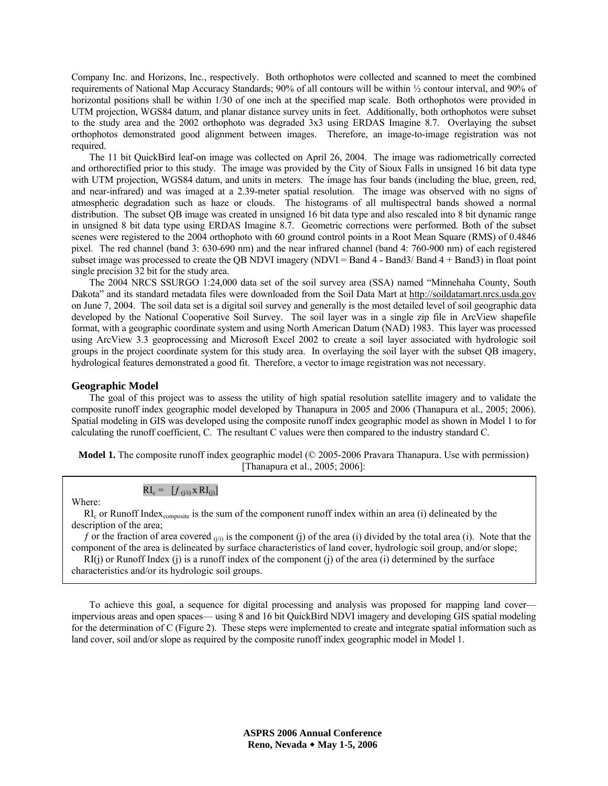Company Inc. and Horizons, Inc., respectively. Both orthophotos were collected and scanned to meet the combined requirements of National Map Accuracy Standards; 90% of all contours will be within ½ contour interval, and 90% of horizontal positions shall be within 1/30 of one inch at the specified map scale. Both orthophotos were provided in UTM projection, WGS84 datum, and planar distance survey units in feet. Additionally, both orthophotos were subset to the study area and the 2002 orthophoto was degraded 3x3 using ERDAS Imagine 8.7. Overlaying the subset orthophotos demonstrated good alignment between images. Therefore, an image-to-image registration was not required.

The 11 bit QuickBird leaf-on image was collected on April 26, 2004. The image was radiometrically corrected and orthorectified prior to this study. The image was provided by the City of Sioux Falls in unsigned 16 bit data type with UTM projection, WGS84 datum, and units in meters. The image has four bands (including the blue, green, red, and near-infrared) and was imaged at a 2.39-meter spatial resolution. The image was observed with no signs of atmospheric degradation such as haze or clouds. The histograms of all multispectral bands showed a normal distribution. The subset QB image was created in unsigned 16 bit data type and also rescaled into 8 bit dynamic range in unsigned 8 bit data type using ERDAS Imagine 8.7. Geometric corrections were performed. Both of the subset scenes were registered to the 2004 orthophoto with 60 ground control points in a Root Mean Square (RMS) of 0.4846 pixel. The red channel (band 3: 630-690 nm) and the near infrared channel (band 4: 760-900 nm) of each registered subset image was processed to create the QB NDVI imagery (NDVI = Band 4 - Band3/ Band 4 + Band3) in float point single precision 32 bit for the study area.

The 2004 NRCS SSURGO 1:24,000 data set of the soil survey area (SSA) named "Minnehaha County, South Dakota" and its standard metadata files were downloaded from the Soil Data Mart at http://soildatamart.nrcs.usda.gov on June 7, 2004. The soil data set is a digital soil survey and generally is the most detailed level of soil geographic data developed by the National Cooperative Soil Survey. The soil layer was in a single zip file in ArcView shapefile format, with a geographic coordinate system and using North American Datum (NAD) 1983. This layer was processed using ArcView 3.3 geoprocessing and Microsoft Excel 2002 to create a soil layer associated with hydrologic soil groups in the project coordinate system for this study area. In overlaying the soil layer with the subset QB imagery, hydrological features demonstrated a good fit. Therefore, a vector to image registration was not necessary.

#### **Geographic Model**

The goal of this project was to assess the utility of high spatial resolution satellite imagery and to validate the composite runoff index geographic model developed by Thanapura in 2005 and 2006 (Thanapura et al., 2005; 2006). Spatial modeling in GIS was developed using the composite runoff index geographic model as shown in Model 1 to for calculating the runoff coefficient, C. The resultant C values were then compared to the industry standard C.

**Model 1.** The composite runoff index geographic model (© 2005-2006 Pravara Thanapura. Use with permission) [Thanapura et al., 2005; 2006]:

# $RI_c = [f_{(j/1)} \times RI_{(i)}]$

Where:

 $RI_c$  or Runoff Index<sub>composite</sub> is the sum of the component runoff index within an area (i) delineated by the description of the area;

f or the fraction of area covered  $_{(i/i)}$  is the component (j) of the area (i) divided by the total area (i). Note that the component of the area is delineated by surface characteristics of land cover, hydrologic soil group, and/or slope;

 $R1(i)$  or Runoff Index (j) is a runoff index of the component (j) of the area (i) determined by the surface characteristics and/or its hydrologic soil groups.

To achieve this goal, a sequence for digital processing and analysis was proposed for mapping land cover impervious areas and open spaces— using 8 and 16 bit QuickBird NDVI imagery and developing GIS spatial modeling for the determination of C (Figure 2). These steps were implemented to create and integrate spatial information such as land cover, soil and/or slope as required by the composite runoff index geographic model in Model 1.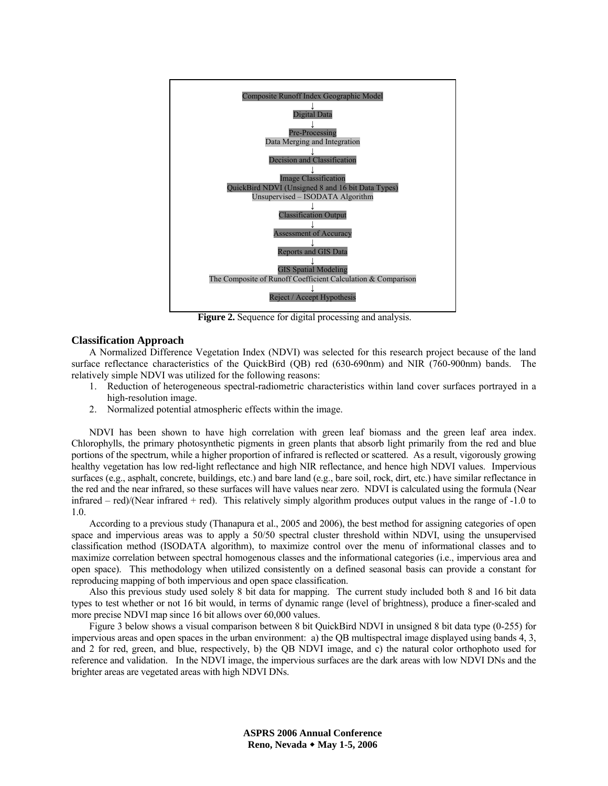

**Figure 2.** Sequence for digital processing and analysis.

## **Classification Approach**

A Normalized Difference Vegetation Index (NDVI) was selected for this research project because of the land surface reflectance characteristics of the QuickBird (QB) red (630-690nm) and NIR (760-900nm) bands. The relatively simple NDVI was utilized for the following reasons:

- 1. Reduction of heterogeneous spectral-radiometric characteristics within land cover surfaces portrayed in a high-resolution image.
- 2. Normalized potential atmospheric effects within the image.

NDVI has been shown to have high correlation with green leaf biomass and the green leaf area index. Chlorophylls, the primary photosynthetic pigments in green plants that absorb light primarily from the red and blue portions of the spectrum, while a higher proportion of infrared is reflected or scattered. As a result, vigorously growing healthy vegetation has low red-light reflectance and high NIR reflectance, and hence high NDVI values. Impervious surfaces (e.g., asphalt, concrete, buildings, etc.) and bare land (e.g., bare soil, rock, dirt, etc.) have similar reflectance in the red and the near infrared, so these surfaces will have values near zero. NDVI is calculated using the formula (Near infrared – red)/(Near infrared + red). This relatively simply algorithm produces output values in the range of -1.0 to 1.0.

According to a previous study (Thanapura et al., 2005 and 2006), the best method for assigning categories of open space and impervious areas was to apply a 50/50 spectral cluster threshold within NDVI, using the unsupervised classification method (ISODATA algorithm), to maximize control over the menu of informational classes and to maximize correlation between spectral homogenous classes and the informational categories (i.e., impervious area and open space). This methodology when utilized consistently on a defined seasonal basis can provide a constant for reproducing mapping of both impervious and open space classification.

Also this previous study used solely 8 bit data for mapping. The current study included both 8 and 16 bit data types to test whether or not 16 bit would, in terms of dynamic range (level of brightness), produce a finer-scaled and more precise NDVI map since 16 bit allows over 60,000 values.

Figure 3 below shows a visual comparison between 8 bit QuickBird NDVI in unsigned 8 bit data type (0-255) for impervious areas and open spaces in the urban environment: a) the QB multispectral image displayed using bands 4, 3, and 2 for red, green, and blue, respectively, b) the QB NDVI image, and c) the natural color orthophoto used for reference and validation. In the NDVI image, the impervious surfaces are the dark areas with low NDVI DNs and the brighter areas are vegetated areas with high NDVI DNs.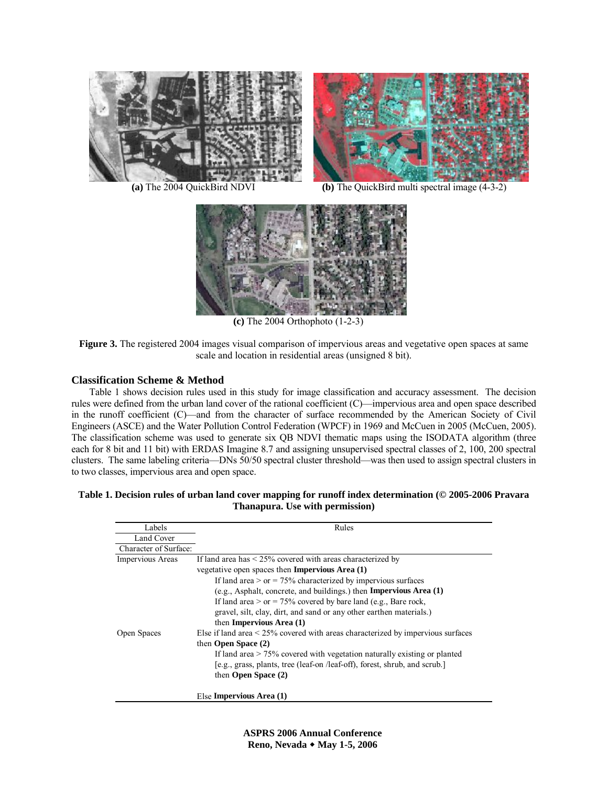



**(a)** The 2004 QuickBird NDVI **(b)** The QuickBird multi spectral image (4-3-2)



**(c)** The 2004 Orthophoto (1-2-3)

**Figure 3.** The registered 2004 images visual comparison of impervious areas and vegetative open spaces at same scale and location in residential areas (unsigned 8 bit).

#### **Classification Scheme & Method**

Table 1 shows decision rules used in this study for image classification and accuracy assessment. The decision rules were defined from the urban land cover of the rational coefficient (C)—impervious area and open space described in the runoff coefficient (C)—and from the character of surface recommended by the American Society of Civil Engineers (ASCE) and the Water Pollution Control Federation (WPCF) in 1969 and McCuen in 2005 (McCuen, 2005). The classification scheme was used to generate six QB NDVI thematic maps using the ISODATA algorithm (three each for 8 bit and 11 bit) with ERDAS Imagine 8.7 and assigning unsupervised spectral classes of 2, 100, 200 spectral clusters. The same labeling criteria—DNs 50/50 spectral cluster threshold—was then used to assign spectral clusters in to two classes, impervious area and open space.

| Labels                       | Rules                                                                                |
|------------------------------|--------------------------------------------------------------------------------------|
| Land Cover                   |                                                                                      |
| <b>Character of Surface:</b> |                                                                                      |
| Impervious Areas             | If land area has $\leq$ 25% covered with areas characterized by                      |
|                              | vegetative open spaces then Impervious Area (1)                                      |
|                              | If land area $>$ or $= 75\%$ characterized by impervious surfaces                    |
|                              | (e.g., Asphalt, concrete, and buildings.) then <b>Impervious Area</b> $(1)$          |
|                              | If land area $>$ or = 75% covered by bare land (e.g., Bare rock,                     |
|                              | gravel, silt, clay, dirt, and sand or any other earthen materials.)                  |
|                              | then Impervious Area (1)                                                             |
| Open Spaces                  | Else if land area $\leq$ 25% covered with areas characterized by impervious surfaces |
|                              | then Open Space $(2)$                                                                |
|                              | If land area $> 75\%$ covered with vegetation naturally existing or planted          |
|                              | [e.g., grass, plants, tree (leaf-on /leaf-off), forest, shrub, and scrub.]           |
|                              | then Open Space $(2)$                                                                |

| Table 1. Decision rules of urban land cover mapping for runoff index determination (© 2005-2006 Pravara |
|---------------------------------------------------------------------------------------------------------|
| <b>Thanapura.</b> Use with permission                                                                   |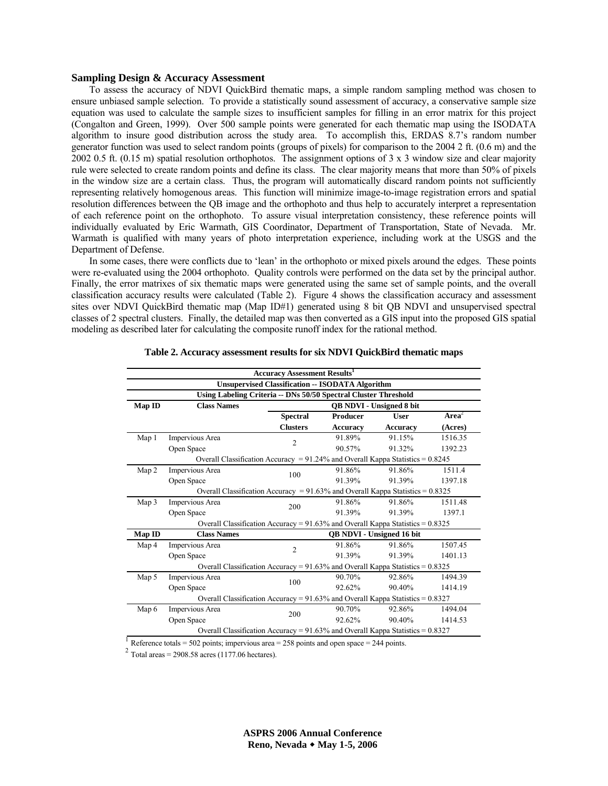#### **Sampling Design & Accuracy Assessment**

To assess the accuracy of NDVI QuickBird thematic maps, a simple random sampling method was chosen to ensure unbiased sample selection. To provide a statistically sound assessment of accuracy, a conservative sample size equation was used to calculate the sample sizes to insufficient samples for filling in an error matrix for this project (Congalton and Green, 1999). Over 500 sample points were generated for each thematic map using the ISODATA algorithm to insure good distribution across the study area. To accomplish this, ERDAS 8.7's random number generator function was used to select random points (groups of pixels) for comparison to the 2004 2 ft. (0.6 m) and the 2002 0.5 ft. (0.15 m) spatial resolution orthophotos. The assignment options of 3 x 3 window size and clear majority rule were selected to create random points and define its class. The clear majority means that more than 50% of pixels in the window size are a certain class. Thus, the program will automatically discard random points not sufficiently representing relatively homogenous areas. This function will minimize image-to-image registration errors and spatial resolution differences between the QB image and the orthophoto and thus help to accurately interpret a representation of each reference point on the orthophoto. To assure visual interpretation consistency, these reference points will individually evaluated by Eric Warmath, GIS Coordinator, Department of Transportation, State of Nevada. Mr. Warmath is qualified with many years of photo interpretation experience, including work at the USGS and the Department of Defense.

In some cases, there were conflicts due to 'lean' in the orthophoto or mixed pixels around the edges. These points were re-evaluated using the 2004 orthophoto. Quality controls were performed on the data set by the principal author. Finally, the error matrixes of six thematic maps were generated using the same set of sample points, and the overall classification accuracy results were calculated (Table 2). Figure 4 shows the classification accuracy and assessment sites over NDVI QuickBird thematic map (Map ID#1) generated using 8 bit QB NDVI and unsupervised spectral classes of 2 spectral clusters. Finally, the detailed map was then converted as a GIS input into the proposed GIS spatial modeling as described later for calculating the composite runoff index for the rational method.

| <b>Accuracy Assessment Results1</b>                                               |                                                                                   |                                                                        |                           |        |         |  |  |  |  |
|-----------------------------------------------------------------------------------|-----------------------------------------------------------------------------------|------------------------------------------------------------------------|---------------------------|--------|---------|--|--|--|--|
| <b>Unsupervised Classification -- ISODATA Algorithm</b>                           |                                                                                   |                                                                        |                           |        |         |  |  |  |  |
|                                                                                   | Using Labeling Criteria -- DNs 50/50 Spectral Cluster Threshold                   |                                                                        |                           |        |         |  |  |  |  |
| Map ID                                                                            | <b>Class Names</b><br>QB NDVI - Unsigned 8 bit                                    |                                                                        |                           |        |         |  |  |  |  |
|                                                                                   |                                                                                   | Area <sup>2</sup><br><b>Spectral</b><br><b>Producer</b><br><b>User</b> |                           |        |         |  |  |  |  |
| <b>Clusters</b><br>(Acres)<br><b>Accuracy</b><br><b>Accuracy</b>                  |                                                                                   |                                                                        |                           |        |         |  |  |  |  |
| Map 1                                                                             | Impervious Area                                                                   | $\overline{2}$                                                         | 91.89%                    | 91.15% | 1516.35 |  |  |  |  |
|                                                                                   | Open Space                                                                        |                                                                        | 90.57%                    | 91.32% | 1392.23 |  |  |  |  |
|                                                                                   | Overall Classification Accuracy = $91.24\%$ and Overall Kappa Statistics = 0.8245 |                                                                        |                           |        |         |  |  |  |  |
| Map 2                                                                             | Impervious Area<br>91.86%<br>91.86%<br>100                                        |                                                                        |                           |        |         |  |  |  |  |
|                                                                                   | Open Space                                                                        |                                                                        | 91.39%                    | 91.39% | 1397.18 |  |  |  |  |
|                                                                                   | Overall Classification Accuracy = $91.63\%$ and Overall Kappa Statistics = 0.8325 |                                                                        |                           |        |         |  |  |  |  |
| Map 3                                                                             | Impervious Area                                                                   | 91.86%<br>91.86%<br>1511.48<br>200                                     |                           |        |         |  |  |  |  |
|                                                                                   | Open Space                                                                        |                                                                        | 91.39%                    | 91.39% | 1397.1  |  |  |  |  |
| Overall Classification Accuracy = $91.63\%$ and Overall Kappa Statistics = 0.8325 |                                                                                   |                                                                        |                           |        |         |  |  |  |  |
| Map ID                                                                            | <b>Class Names</b>                                                                |                                                                        | QB NDVI - Unsigned 16 bit |        |         |  |  |  |  |
| Map 4                                                                             | Impervious Area                                                                   | $\overline{c}$                                                         | 91.86%                    | 91.86% | 1507.45 |  |  |  |  |
|                                                                                   | Open Space                                                                        |                                                                        | 91.39%                    | 91.39% | 1401.13 |  |  |  |  |
|                                                                                   | Overall Classification Accuracy = $91.63\%$ and Overall Kappa Statistics = 0.8325 |                                                                        |                           |        |         |  |  |  |  |
| Map 5                                                                             | Impervious Area                                                                   | 100                                                                    | 90.70%                    | 92.86% | 1494.39 |  |  |  |  |
|                                                                                   | Open Space                                                                        |                                                                        | 92.62%                    | 90.40% | 1414.19 |  |  |  |  |
|                                                                                   | Overall Classification Accuracy = 91.63% and Overall Kappa Statistics = 0.8327    |                                                                        |                           |        |         |  |  |  |  |
| Map 6                                                                             | Impervious Area                                                                   | 200                                                                    | 90.70%                    | 92.86% | 1494.04 |  |  |  |  |
|                                                                                   | Open Space<br>92.62%<br>90.40%<br>1414.53                                         |                                                                        |                           |        |         |  |  |  |  |
| Overall Classification Accuracy = 91.63% and Overall Kappa Statistics = 0.8327    |                                                                                   |                                                                        |                           |        |         |  |  |  |  |

|  | Table 2. Accuracy assessment results for six NDVI QuickBird thematic maps |  |  |  |
|--|---------------------------------------------------------------------------|--|--|--|
|--|---------------------------------------------------------------------------|--|--|--|

<sup>1</sup> Reference totals = 502 points; impervious area = 258 points and open space = 244 points. <sup>2</sup> Total areas = 2908.58 acres (1177.06 hectares).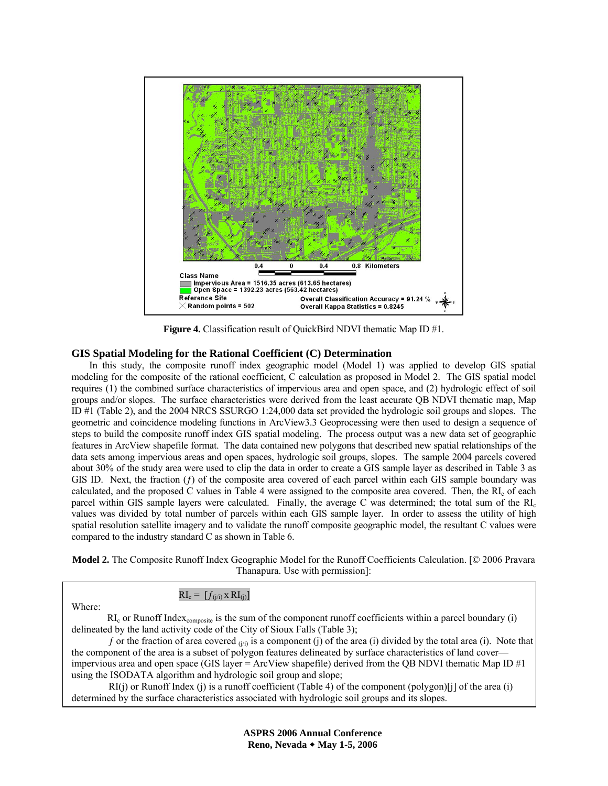

**Figure 4.** Classification result of QuickBird NDVI thematic Map ID #1.

#### **GIS Spatial Modeling for the Rational Coefficient (C) Determination**

In this study, the composite runoff index geographic model (Model 1) was applied to develop GIS spatial modeling for the composite of the rational coefficient, C calculation as proposed in Model 2. The GIS spatial model requires (1) the combined surface characteristics of impervious area and open space, and (2) hydrologic effect of soil groups and/or slopes. The surface characteristics were derived from the least accurate QB NDVI thematic map, Map ID #1 (Table 2), and the 2004 NRCS SSURGO 1:24,000 data set provided the hydrologic soil groups and slopes. The geometric and coincidence modeling functions in ArcView3.3 Geoprocessing were then used to design a sequence of steps to build the composite runoff index GIS spatial modeling. The process output was a new data set of geographic features in ArcView shapefile format. The data contained new polygons that described new spatial relationships of the data sets among impervious areas and open spaces, hydrologic soil groups, slopes. The sample 2004 parcels covered about 30% of the study area were used to clip the data in order to create a GIS sample layer as described in Table 3 as GIS ID. Next, the fraction  $(f)$  of the composite area covered of each parcel within each GIS sample boundary was calculated, and the proposed C values in Table 4 were assigned to the composite area covered. Then, the  $\rm{RI_c}$  of each parcel within GIS sample layers were calculated. Finally, the average C was determined; the total sum of the RIc values was divided by total number of parcels within each GIS sample layer. In order to assess the utility of high spatial resolution satellite imagery and to validate the runoff composite geographic model, the resultant C values were compared to the industry standard C as shown in Table 6.

**Model 2.** The Composite Runoff Index Geographic Model for the Runoff Coefficients Calculation. [© 2006 Pravara Thanapura. Use with permission]:

# $RI_c = [f_{(i/i)} \times RI_{(i)}]$

Where:

 $RI<sub>c</sub>$  or Runoff Index<sub>composite</sub> is the sum of the component runoff coefficients within a parcel boundary (i) delineated by the land activity code of the City of Sioux Falls (Table 3);

f or the fraction of area covered  $_{(i/i)}$  is a component (j) of the area (i) divided by the total area (i). Note that the component of the area is a subset of polygon features delineated by surface characteristics of land cover impervious area and open space (GIS layer = ArcView shapefile) derived from the QB NDVI thematic Map ID  $\#1$ using the ISODATA algorithm and hydrologic soil group and slope;

 $R1(i)$  or Runoff Index (j) is a runoff coefficient (Table 4) of the component (polygon)[j] of the area (i) determined by the surface characteristics associated with hydrologic soil groups and its slopes.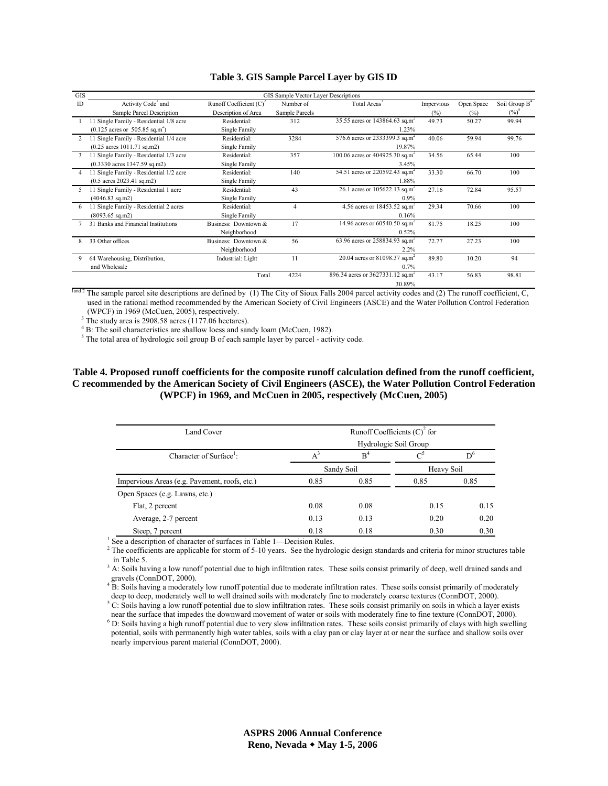# **Table 3. GIS Sample Parcel Layer by GIS ID**

| <b>GIS</b>     | GIS Sample Vector Layer Descriptions              |                            |                |                                              |            |            |                  |
|----------------|---------------------------------------------------|----------------------------|----------------|----------------------------------------------|------------|------------|------------------|
| <b>ID</b>      | Activity Code <sup>1</sup> and                    | Runoff Coefficient $(C)^2$ | Number of      | Total Areas <sup>3</sup>                     | Impervious | Open Space | Soil Group $B^4$ |
|                | Sample Parcel Description                         | Description of Area        | Sample Parcels |                                              | $(\%)$     | (%)        | $(\%)^3$         |
|                | 11 Single Family - Residential 1/8 acre           | Residential:               | 312            | 35.55 acres or 143864.63 sq.m <sup>2</sup>   | 49.73      | 50.27      | 99.94            |
|                | $(0.125 \text{ acres or } 505.85 \text{ sq.m}^2)$ | Single Family              |                | 1.23%                                        |            |            |                  |
| $\overline{c}$ | 11 Single Family - Residential 1/4 acre           | Residential:               | 3284           | 576.6 acres or 2333399.3 sq.m <sup>2</sup>   | 40.06      | 59.94      | 99.76            |
|                | $(0.25$ acres 1011.71 sq.m2)                      | Single Family              |                | 19.87%                                       |            |            |                  |
|                | 11 Single Family - Residential 1/3 acre           | Residential:               | 357            | 100.06 acres or 404925.30 sq.m <sup>2</sup>  | 34.56      | 65.44      | 100              |
|                | $(0.3330$ acres 1347.59 sq.m2)                    | Single Family              |                | 3.45%                                        |            |            |                  |
| 4              | 11 Single Family - Residential 1/2 acre           | Residential:               | 140            | 54.51 acres or 220592.43 sq.m <sup>2</sup>   | 33.30      | 66.70      | 100              |
|                | $(0.5 \text{ acres } 2023.41 \text{ sq.m2})$      | Single Family              |                | 1.88%                                        |            |            |                  |
| 5              | 11 Single Family - Residential 1 acre             | Residential:               | 43             | 26.1 acres or $105622.13$ sq.m <sup>2</sup>  | 27.16      | 72.84      | 95.57            |
|                | $(4046.83$ sq.m2)                                 | Single Family              |                | $0.9\%$                                      |            |            |                  |
| 6              | 11 Single Family - Residential 2 acres            | Residential:               | $\overline{4}$ | 4.56 acres or $18453.52$ sq.m <sup>2</sup>   | 29.34      | 70.66      | 100              |
|                | $(8093.65 \text{ sq.m2})$                         | Single Family              |                | 0.16%                                        |            |            |                  |
|                | 31 Banks and Financial Institutions               | Business: Downtown &       | 17             | 14.96 acres or $60540.50$ sq.m <sup>2</sup>  | 81.75      | 18.25      | 100              |
|                |                                                   | Neighborhood               |                | 0.52%                                        |            |            |                  |
| 8              | 33 Other offices                                  | Business: Downtown &       | 56             | 63.96 acres or 258834.93 sq.m <sup>2</sup>   | 72.77      | 27.23      | 100              |
|                |                                                   | Neighborhood               |                | 2.2%                                         |            |            |                  |
| q              | 64 Warehousing, Distribution,                     | Industrial: Light          | 11             | 20.04 acres or 81098.37 sq.m <sup>2</sup>    | 89.80      | 10.20      | 94               |
|                | and Wholesale                                     |                            |                | 0.7%                                         |            |            |                  |
|                |                                                   | Total                      | 4224           | 896.34 acres or 3627331.12 sq.m <sup>2</sup> | 43.17      | 56.83      | 98.81            |
|                |                                                   |                            |                | 30.89%                                       |            |            |                  |

<sup>30.89%</sup><br><sup>1and 2</sup> The sample parcel site descriptions are defined by (1) The City of Sioux Falls 2004 parcel activity codes and (2) The runoff coefficient, C, used in the rational method recommended by the American Society of Civil Engineers (ASCE) and the Water Pollution Control Federation

(WPCF) in 1969 (McCuen, 2005), respectively.<br> $3$  The study area is 2908.58 acres (1177.06 hectares).

 $3$ <sup>4</sup> B: The soil characteristics are shallow loess and sandy loam (McCuen, 1982).  $5$  The total area of hydrologic soil group B of each sample layer by parcel - activity code.

**Table 4. Proposed runoff coefficients for the composite runoff calculation defined from the runoff coefficient, C recommended by the American Society of Civil Engineers (ASCE), the Water Pollution Control Federation (WPCF) in 1969, and McCuen in 2005, respectively (McCuen, 2005)** 

| Land Cover                                    | Runoff Coefficients $(C)^2$ for<br>Hydrologic Soil Group |                |            |             |  |
|-----------------------------------------------|----------------------------------------------------------|----------------|------------|-------------|--|
|                                               |                                                          |                |            |             |  |
| Character of Surface <sup>1</sup> :           |                                                          | B <sup>4</sup> |            | $D^{\circ}$ |  |
|                                               |                                                          | Sandy Soil     | Heavy Soil |             |  |
| Impervious Areas (e.g. Pavement, roofs, etc.) | 0.85                                                     | 0.85           | 0.85       | 0.85        |  |
| Open Spaces (e.g. Lawns, etc.)                |                                                          |                |            |             |  |
| Flat, 2 percent                               | 0.08                                                     | 0.08           | 0.15       | 0.15        |  |
| Average, 2-7 percent                          | 0.13                                                     | 0.13           | 0.20       | 0.20        |  |
| Steep, 7 percent                              | 0.18                                                     | 0.18           | 0.30       | 0.30        |  |

1 See a description of character of surfaces in Table 1—Decision Rules.

<sup>2</sup> The coefficients are applicable for storm of 5-10 years. See the hydrologic design standards and criteria for minor structures table in Table 5.<br><sup>3</sup> A: Soils having a low runoff potential due to high infiltration rates. These soils consist primarily of deep, well drained sands and

gravels (ConnDOT, 2000). 4

<sup>4</sup> B: Soils having a moderately low runoff potential due to moderate infiltration rates. These soils consist primarily of moderately deep to deep, moderately well to well drained soils with moderately fine to moderately coarse textures (ConnDOT, 2000).

 $^5$  C: Soils having a low runoff potential due to slow infiltration rates. These soils consist primarily on soils in which a layer exists near the surface that impedes the downward movement of water or soils with moderately fine to fine texture (ConnDOT, 2000).

 $6$  D: Soils having a high runoff potential due to very slow infiltration rates. These soils consist primarily of clays with high swelling potential, soils with permanently high water tables, soils with a clay pan or clay layer at or near the surface and shallow soils over nearly impervious parent material (ConnDOT, 2000).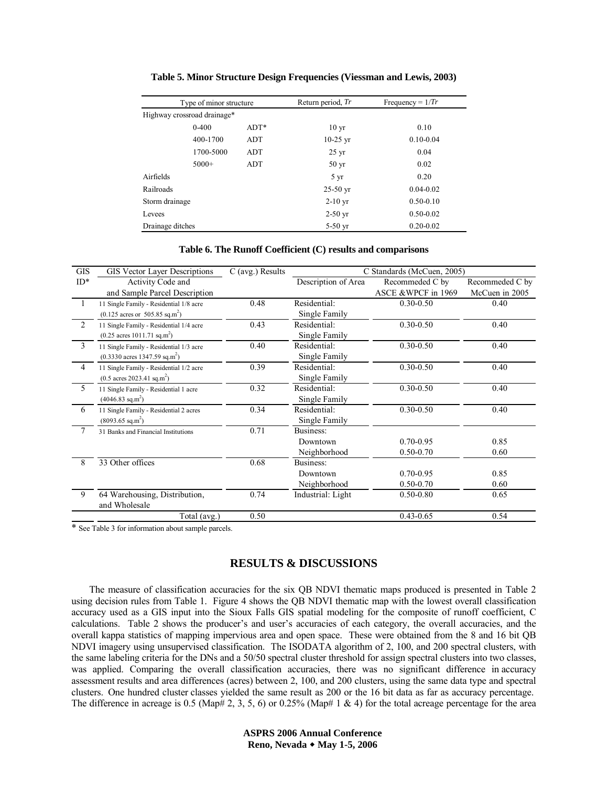| Type of minor structure     |                         |                    | Return period, Tr | Frequency = $1/Tr$ |
|-----------------------------|-------------------------|--------------------|-------------------|--------------------|
| Highway crossroad drainage* |                         |                    |                   |                    |
| $0-400$<br>$ADT*$           |                         | 10 <sub>yr</sub>   | 0.10              |                    |
|                             | 400-1700                | <b>ADT</b>         | $10-25$ yr        | $0.10 - 0.04$      |
|                             | 1700-5000<br><b>ADT</b> |                    | $25 \text{ yr}$   | 0.04               |
|                             | $5000+$                 | <b>ADT</b>         | 50 <sub>yr</sub>  | 0.02               |
| Airfields                   |                         |                    | 5 yr              | 0.20               |
| Railroads                   |                         | $25-50 \text{ yr}$ | $0.04 - 0.02$     |                    |
| Storm drainage              |                         | $2-10$ yr          | $0.50 - 0.10$     |                    |
| Levees                      |                         |                    | $2-50$ yr         | $0.50 - 0.02$      |
| Drainage ditches            |                         |                    | $5-50$ yr         | $0.20 - 0.02$      |

**Table 5. Minor Structure Design Frequencies (Viessman and Lewis, 2003)** 

|  |  |  |  |  |  |  | Table 6. The Runoff Coefficient (C) results and comparisons |
|--|--|--|--|--|--|--|-------------------------------------------------------------|
|--|--|--|--|--|--|--|-------------------------------------------------------------|

| <b>GIS</b>     | GIS Vector Layer Descriptions                     | C (avg.) Results | C Standards (McCuen, 2005) |                     |                 |  |  |
|----------------|---------------------------------------------------|------------------|----------------------------|---------------------|-----------------|--|--|
| $ID*$          | Activity Code and                                 |                  | Description of Area        | Recommeded C by     | Recommeded C by |  |  |
|                | and Sample Parcel Description                     |                  |                            | ASCE & WPCF in 1969 | McCuen in 2005  |  |  |
| $\overline{1}$ | 11 Single Family - Residential 1/8 acre           | 0.48             | Residential:               | $0.30 - 0.50$       | 0.40            |  |  |
|                | $(0.125 \text{ acres or } 505.85 \text{ sq.m}^2)$ |                  | Single Family              |                     |                 |  |  |
| $\overline{2}$ | 11 Single Family - Residential 1/4 acre           | 0.43             | Residential:               | $0.30 - 0.50$       | 0.40            |  |  |
|                | $(0.25 \text{ acres } 1011.71 \text{ sq.m}^2)$    |                  | Single Family              |                     |                 |  |  |
| 3              | 11 Single Family - Residential 1/3 acre           | 0.40             | Residential:               | $0.30 - 0.50$       | 0.40            |  |  |
|                | $(0.3330 \text{ acres } 1347.59 \text{ sq.m}^2)$  |                  | Single Family              |                     |                 |  |  |
| $\overline{4}$ | 11 Single Family - Residential 1/2 acre           | 0.39             | Residential:               | $0.30 - 0.50$       | 0.40            |  |  |
|                | $(0.5 \text{ acres } 2023.41 \text{ sq.m}^2)$     |                  | Single Family              |                     |                 |  |  |
| 5              | 11 Single Family - Residential 1 acre             | 0.32             | Residential:               | $0.30 - 0.50$       | 0.40            |  |  |
|                | $(4046.83 \text{ sq.m}^2)$                        |                  | Single Family              |                     |                 |  |  |
| 6              | 11 Single Family - Residential 2 acres            | 0.34             | Residential:               | $0.30 - 0.50$       | 0.40            |  |  |
|                | $(8093.65 \text{ sq.m}^2)$                        |                  | Single Family              |                     |                 |  |  |
| 7              | 31 Banks and Financial Institutions               | 0.71             | Business:                  |                     |                 |  |  |
|                |                                                   |                  | Downtown                   | $0.70 - 0.95$       | 0.85            |  |  |
|                |                                                   |                  | Neighborhood               | $0.50 - 0.70$       | 0.60            |  |  |
| 8              | 33 Other offices                                  | 0.68             | Business:                  |                     |                 |  |  |
|                |                                                   |                  | Downtown                   | $0.70 - 0.95$       | 0.85            |  |  |
|                |                                                   |                  | Neighborhood               | $0.50 - 0.70$       | 0.60            |  |  |
| 9              | 64 Warehousing, Distribution,                     | 0.74             | Industrial: Light          | $0.50 - 0.80$       | 0.65            |  |  |
|                | and Wholesale                                     |                  |                            |                     |                 |  |  |
|                | Total (avg.)                                      | 0.50             |                            | $0.43 - 0.65$       | 0.54            |  |  |

\* See Table 3 for information about sample parcels.

# **RESULTS & DISCUSSIONS**

The measure of classification accuracies for the six QB NDVI thematic maps produced is presented in Table 2 using decision rules from Table 1. Figure 4 shows the QB NDVI thematic map with the lowest overall classification accuracy used as a GIS input into the Sioux Falls GIS spatial modeling for the composite of runoff coefficient, C calculations. Table 2 shows the producer's and user's accuracies of each category, the overall accuracies, and the overall kappa statistics of mapping impervious area and open space. These were obtained from the 8 and 16 bit QB NDVI imagery using unsupervised classification. The ISODATA algorithm of 2, 100, and 200 spectral clusters, with the same labeling criteria for the DNs and a 50/50 spectral cluster threshold for assign spectral clusters into two classes, was applied. Comparing the overall classification accuracies, there was no significant difference in accuracy assessment results and area differences (acres) between 2, 100, and 200 clusters, using the same data type and spectral clusters. One hundred cluster classes yielded the same result as 200 or the 16 bit data as far as accuracy percentage. The difference in acreage is 0.5 (Map# 2, 3, 5, 6) or 0.25% (Map# 1 & 4) for the total acreage percentage for the area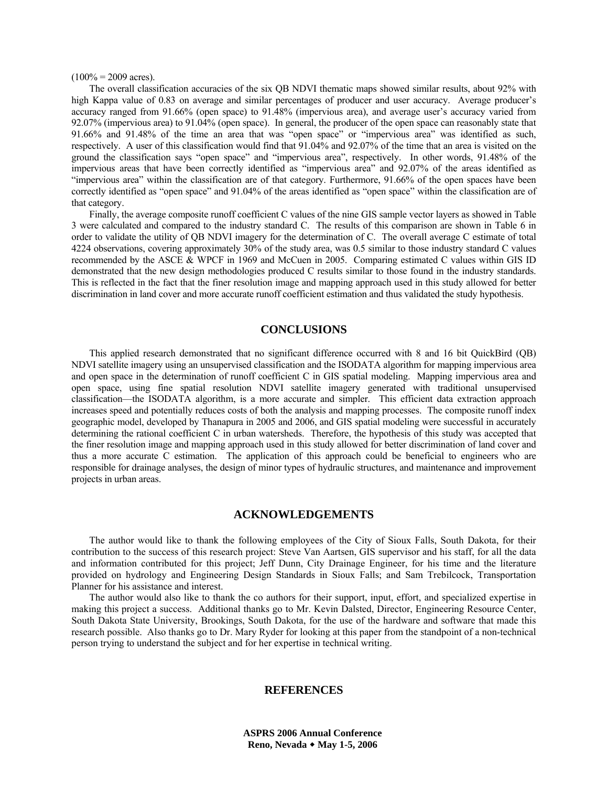$(100\% = 2009 \text{ acres}).$ 

The overall classification accuracies of the six QB NDVI thematic maps showed similar results, about 92% with high Kappa value of 0.83 on average and similar percentages of producer and user accuracy. Average producer's accuracy ranged from 91.66% (open space) to 91.48% (impervious area), and average user's accuracy varied from 92.07% (impervious area) to 91.04% (open space). In general, the producer of the open space can reasonably state that 91.66% and 91.48% of the time an area that was "open space" or "impervious area" was identified as such, respectively. A user of this classification would find that 91.04% and 92.07% of the time that an area is visited on the ground the classification says "open space" and "impervious area", respectively. In other words, 91.48% of the impervious areas that have been correctly identified as "impervious area" and 92.07% of the areas identified as "impervious area" within the classification are of that category. Furthermore, 91.66% of the open spaces have been correctly identified as "open space" and 91.04% of the areas identified as "open space" within the classification are of that category.

Finally, the average composite runoff coefficient C values of the nine GIS sample vector layers as showed in Table 3 were calculated and compared to the industry standard C. The results of this comparison are shown in Table 6 in order to validate the utility of QB NDVI imagery for the determination of C. The overall average C estimate of total 4224 observations, covering approximately 30% of the study area, was 0.5 similar to those industry standard C values recommended by the ASCE & WPCF in 1969 and McCuen in 2005. Comparing estimated C values within GIS ID demonstrated that the new design methodologies produced C results similar to those found in the industry standards. This is reflected in the fact that the finer resolution image and mapping approach used in this study allowed for better discrimination in land cover and more accurate runoff coefficient estimation and thus validated the study hypothesis.

# **CONCLUSIONS**

This applied research demonstrated that no significant difference occurred with 8 and 16 bit QuickBird (QB) NDVI satellite imagery using an unsupervised classification and the ISODATA algorithm for mapping impervious area and open space in the determination of runoff coefficient C in GIS spatial modeling. Mapping impervious area and open space, using fine spatial resolution NDVI satellite imagery generated with traditional unsupervised classification—the ISODATA algorithm, is a more accurate and simpler. This efficient data extraction approach increases speed and potentially reduces costs of both the analysis and mapping processes. The composite runoff index geographic model, developed by Thanapura in 2005 and 2006, and GIS spatial modeling were successful in accurately determining the rational coefficient C in urban watersheds. Therefore, the hypothesis of this study was accepted that the finer resolution image and mapping approach used in this study allowed for better discrimination of land cover and thus a more accurate C estimation. The application of this approach could be beneficial to engineers who are responsible for drainage analyses, the design of minor types of hydraulic structures, and maintenance and improvement projects in urban areas.

# **ACKNOWLEDGEMENTS**

The author would like to thank the following employees of the City of Sioux Falls, South Dakota, for their contribution to the success of this research project: Steve Van Aartsen, GIS supervisor and his staff, for all the data and information contributed for this project; Jeff Dunn, City Drainage Engineer, for his time and the literature provided on hydrology and Engineering Design Standards in Sioux Falls; and Sam Trebilcock, Transportation Planner for his assistance and interest.

The author would also like to thank the co authors for their support, input, effort, and specialized expertise in making this project a success. Additional thanks go to Mr. Kevin Dalsted, Director, Engineering Resource Center, South Dakota State University, Brookings, South Dakota, for the use of the hardware and software that made this research possible. Also thanks go to Dr. Mary Ryder for looking at this paper from the standpoint of a non-technical person trying to understand the subject and for her expertise in technical writing.

## **REFERENCES**